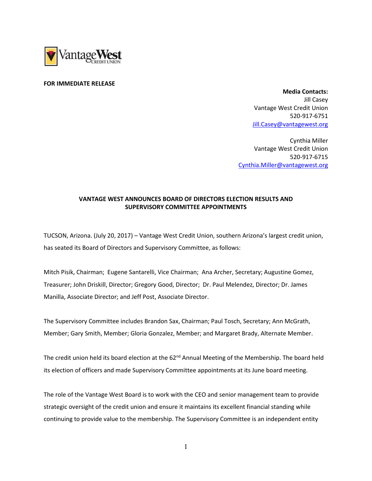

## FOR IMMEDIATE RELEASE

 Media Contacts: Jill Casey Vantage West Credit Union 520-917-6751 Jill.Casey@vantagewest.org

Cynthia Miller Vantage West Credit Union 520-917-6715 Cynthia.Miller@vantagewest.org

## VANTAGE WEST ANNOUNCES BOARD OF DIRECTORS ELECTION RESULTS AND SUPERVISORY COMMITTEE APPOINTMENTS

TUCSON, Arizona. (July 20, 2017) – Vantage West Credit Union, southern Arizona's largest credit union, has seated its Board of Directors and Supervisory Committee, as follows:

Mitch Pisik, Chairman; Eugene Santarelli, Vice Chairman; Ana Archer, Secretary; Augustine Gomez, Treasurer; John Driskill, Director; Gregory Good, Director; Dr. Paul Melendez, Director; Dr. James Manilla, Associate Director; and Jeff Post, Associate Director.

The Supervisory Committee includes Brandon Sax, Chairman; Paul Tosch, Secretary; Ann McGrath, Member; Gary Smith, Member; Gloria Gonzalez, Member; and Margaret Brady, Alternate Member.

The credit union held its board election at the 62<sup>nd</sup> Annual Meeting of the Membership. The board held its election of officers and made Supervisory Committee appointments at its June board meeting.

The role of the Vantage West Board is to work with the CEO and senior management team to provide strategic oversight of the credit union and ensure it maintains its excellent financial standing while continuing to provide value to the membership. The Supervisory Committee is an independent entity